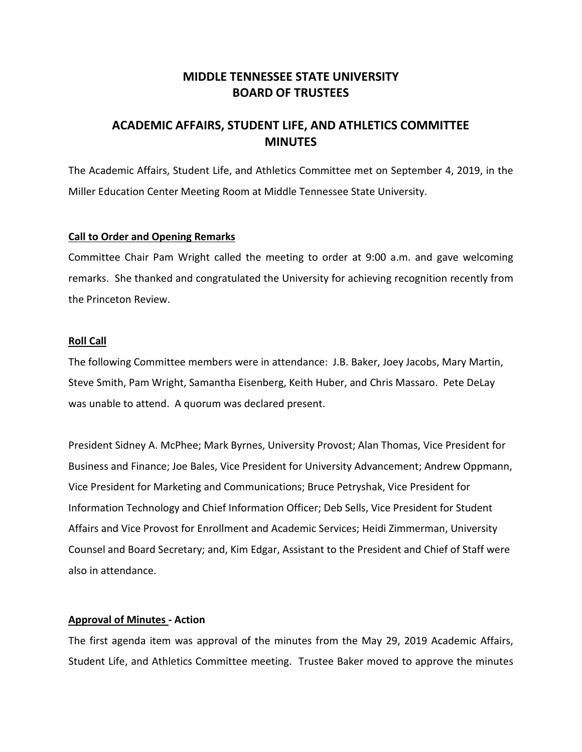# **MIDDLE TENNESSEE STATE UNIVERSITY BOARD OF TRUSTEES**

# **ACADEMIC AFFAIRS, STUDENT LIFE, AND ATHLETICS COMMITTEE MINUTES**

The Academic Affairs, Student Life, and Athletics Committee met on September 4, 2019, in the Miller Education Center Meeting Room at Middle Tennessee State University.

## **Call to Order and Opening Remarks**

Committee Chair Pam Wright called the meeting to order at 9:00 a.m. and gave welcoming remarks. She thanked and congratulated the University for achieving recognition recently from the Princeton Review.

## **Roll Call**

The following Committee members were in attendance: J.B. Baker, Joey Jacobs, Mary Martin, Steve Smith, Pam Wright, Samantha Eisenberg, Keith Huber, and Chris Massaro. Pete DeLay was unable to attend. A quorum was declared present.

President Sidney A. McPhee; Mark Byrnes, University Provost; Alan Thomas, Vice President for Business and Finance; Joe Bales, Vice President for University Advancement; Andrew Oppmann, Vice President for Marketing and Communications; Bruce Petryshak, Vice President for Information Technology and Chief Information Officer; Deb Sells, Vice President for Student Affairs and Vice Provost for Enrollment and Academic Services; Heidi Zimmerman, University Counsel and Board Secretary; and, Kim Edgar, Assistant to the President and Chief of Staff were also in attendance.

## **Approval of Minutes - Action**

The first agenda item was approval of the minutes from the May 29, 2019 Academic Affairs, Student Life, and Athletics Committee meeting. Trustee Baker moved to approve the minutes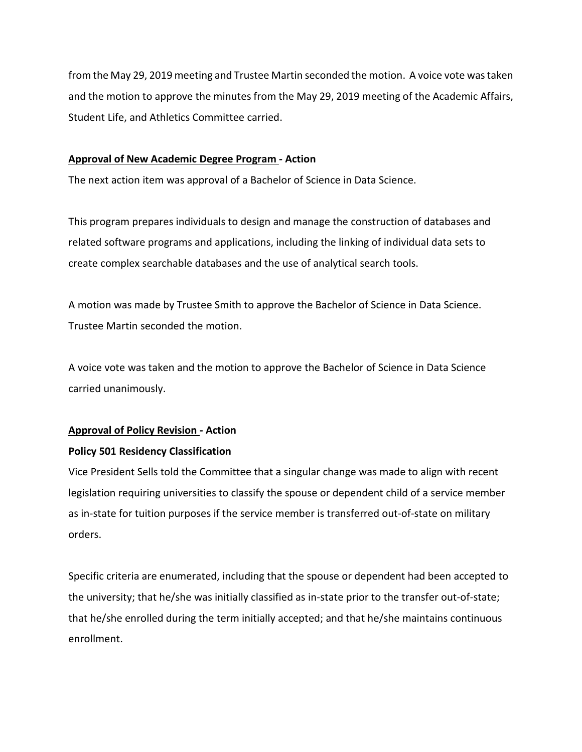from the May 29, 2019 meeting and Trustee Martin seconded the motion. A voice vote was taken and the motion to approve the minutes from the May 29, 2019 meeting of the Academic Affairs, Student Life, and Athletics Committee carried.

## **Approval of New Academic Degree Program - Action**

The next action item was approval of a Bachelor of Science in Data Science.

This program prepares individuals to design and manage the construction of databases and related software programs and applications, including the linking of individual data sets to create complex searchable databases and the use of analytical search tools.

A motion was made by Trustee Smith to approve the Bachelor of Science in Data Science. Trustee Martin seconded the motion.

A voice vote was taken and the motion to approve the Bachelor of Science in Data Science carried unanimously.

## **Approval of Policy Revision - Action**

## **Policy 501 Residency Classification**

Vice President Sells told the Committee that a singular change was made to align with recent legislation requiring universities to classify the spouse or dependent child of a service member as in-state for tuition purposes if the service member is transferred out-of-state on military orders.

Specific criteria are enumerated, including that the spouse or dependent had been accepted to the university; that he/she was initially classified as in‐state prior to the transfer out‐of‐state; that he/she enrolled during the term initially accepted; and that he/she maintains continuous enrollment.